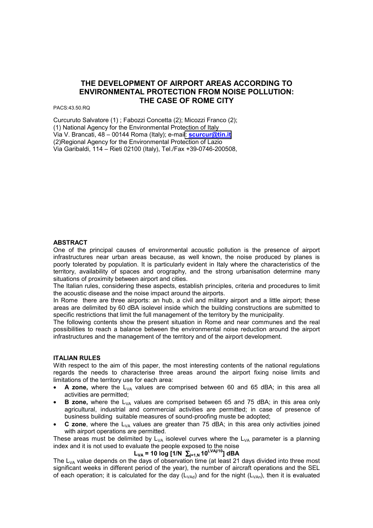# **THE DEVELOPMENT OF AIRPORT AREAS ACCORDING TO ENVIRONMENTAL PROTECTION FROM NOISE POLLUTION: THE CASE OF ROME CITY**

PACS:43.50.RQ

Curcuruto Salvatore (1) ; Fabozzi Concetta (2); Micozzi Franco (2); (1) National Agency for the Environmental Protection of Italy Via V. Brancati, 48 – 00144 Roma (Italy); e-mail: **[scurcur@tin.it](mailto:scurcur@tin.it)** (2)Regional Agency for the Environmental Protection of Lazio Via Garibaldi, 114 – Rieti 02100 (Italy), Tel./Fax +39-0746-200508,

#### **ABSTRACT**

One of the principal causes of environmental acoustic pollution is the presence of airport infrastructures near urban areas because, as well known, the noise produced by planes is poorly tolerated by population. It is particularly evident in Italy where the characteristics of the territory, availability of spaces and orography, and the strong urbanisation determine many situations of proximity between airport and cities.

The Italian rules, considering these aspects, establish principles, criteria and procedures to limit the acoustic disease and the noise impact around the airports.

In Rome there are three airports: an hub, a civil and military airport and a little airport; these areas are delimited by 60 dBA isolevel inside which the building constructions are submitted to specific restrictions that limit the full management of the territory by the municipality.

The following contents show the present situation in Rome and near communes and the real possibilities to reach a balance between the environmental noise reduction around the airport infrastructures and the management of the territory and of the airport development.

#### **ITALIAN RULES**

With respect to the aim of this paper, the most interesting contents of the national regulations regards the needs to characterise three areas around the airport fixing noise limits and limitations of the territory use for each area:

- A zone, where the L<sub>VA</sub> values are comprised between 60 and 65 dBA; in this area all activities are permitted;
- **B zone,** where the L<sub>VA</sub> values are comprised between 65 and 75 dBA; in this area only agricultural, industrial and commercial activities are permitted; in case of presence of business building suitable measures of sound-proofing muste be adopted;
- **C zone**, where the  $L_{VA}$  values are greater than 75 dBA; in this area only activities joined with airport operations are permitted.

These areas must be delimited by  $L_{VA}$  isolevel curves where the  $L_{VA}$  parameter is a planning index and it is not used to evaluate the people exposed to the noise

## **LVA = 10 log [1/N** ∑**j=1,N 10LVAj/10] dBA**

The  $L_{VA}$  value depends on the days of observation time (at least 21 days divided into three most significant weeks in different period of the year), the number of aircraft operations and the SEL of each operation; it is calculated for the day ( $L_{V\text{Ad}}$ ) and for the night ( $L_{V\text{Ad}}$ ), then it is evaluated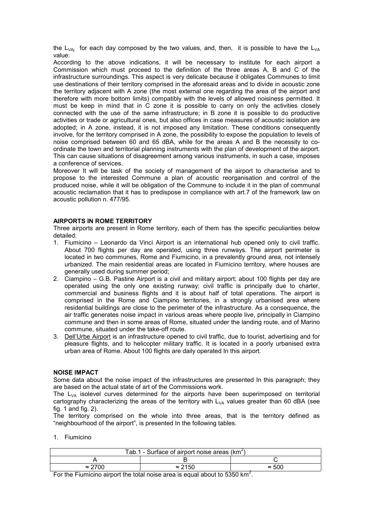the  $L_{VAi}$  for each day composed by the two values, and, then, it is possible to have the  $L_{VA}$ value:

According to the above indications, it will be necessary to institute for each airport a Commission which must proceed to the definition of the three areas A, B and C of the infrastructure surroundings. This aspect is very delicate because it obligates Communes to limit use destinations of their territory comprised in the aforesaid areas and to divide in acoustic zone the territory adjacent with A zone (the most external one regarding the area of the airport and therefore with more bottom limits) compatibly with the levels of allowed noisiness permitted. It must be keep in mind that in C zone it is possible to carry on only the activities closely connected with the use of the same infrastructure; in B zone it is possible to do productive activities or trade or agricultural ones, but also offices in case measures of acoustic isolation are adopted; in A zone, instead, it is not imposed any limitation. These conditions consequently involve, for the territory comprised in A zone, the possibility to expose the population to levels of noise comprised between 60 and 65 dBA, while for the areas A and B the necessity to coordinate the town and territorial planning instruments with the plan of development of the airport. This can cause situations of disagreement among various instruments, in such a case, imposes a conference of services.

Moreover It will be task of the society of management of the airport to characterise and to propose to the interested Commune a plan of acoustic reorganisation and control of the produced noise, while it will be obligation of the Commune to include it in the plan of communal acoustic reclamation that it has to predispose in compliance with art.7 of the framework law on acoustic pollution n. 477/95.

#### **AIRPORTS IN ROME TERRITORY**

Three airports are present in Rome territory, each of them has the specific peculiarities below detailed:

- 1. Fiumicino Leonardo da Vinci Airport is an international hub opened only to civil traffic. About 700 flights per day are operated, using three runways. The airport perimeter is located in two communes, Rome and Fiumicino, in a prevalently ground area, not intensely urbanized. The main residential areas are located in Fiumicino territory, where houses are generally used during summer period;
- 2. Ciampino G.B. Pastine Airport is a civil and military airport; about 100 flights per day are operated using the only one existing runway; civil traffic is principally due to charter, commercial and business flights and it is about half of total operations. The airport is comprised in the Rome and Ciampino territories, in a strongly urbanised area where residential buildings are close to the perimeter of the infrastructure. As a consequence, the air traffic generates noise impact in various areas where people live, principally in Ciampino commune and then in some areas of Rome, situated under the landing route, and of Marino commune, situated under the take-off route.
- 3. Dell'Urbe Airport is an infrastructure opened to civil traffic, due to tourist, advertising and for pleasure flights, and to helicopter military traffic. It is located in a poorly urbanised extra urban area of Rome. About 100 flights are daily operated In this airport.

#### **NOISE IMPACT**

Some data about the noise impact of the infrastructures are presented In this paragraph; they are based on the actual state of art of the Commissions work.

The  $L_{VA}$  isolevel curves determined for the airports have been superimposed on territorial cartography characterizing the areas of the territory with  $L_{VA}$  values greater than 60 dBA (see fig. 1 and fig. 2).

The territory comprised on the whole into three areas, that is the territory defined as "neighbourhood of the airport", is presented In the following tables.

1. Fiumicino

| Tab.1 - Surface of airport noise areas $(km^2)$ |                |       |  |  |
|-------------------------------------------------|----------------|-------|--|--|
|                                                 |                |       |  |  |
| $\approx$ 2700                                  | $\approx$ 2150 | ≈ 500 |  |  |

For the Fiumicino airport the total noise area is equal about to 5350  $km^2$ .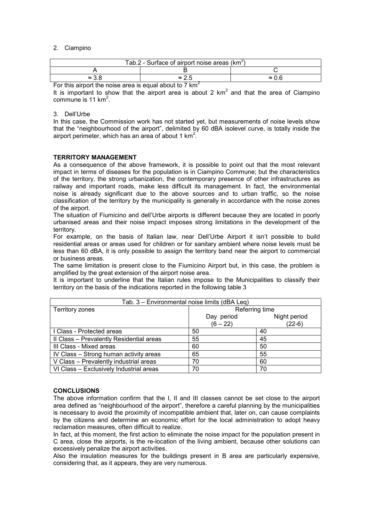#### 2. Ciampino

| Tab.2 - Surface of airport noise areas $(km^2)$         |               |       |  |  |
|---------------------------------------------------------|---------------|-------|--|--|
|                                                         |               |       |  |  |
| $\approx$ 3.8                                           | $\approx$ 2.5 | ≈ 0.6 |  |  |
| Earthia airpart tha paing area is agual ahaut ta 7 Irpa |               |       |  |  |

For this airport the noise area is equal about to 7 km<sup>2</sup>

It is important to show that the airport area is about 2  $km<sup>2</sup>$  and that the area of Ciampino commune is 11  $km^2$ .

### 3. Dell'Urbe

In this case, the Commission work has not started yet, but measurements of noise levels show that the "neighbourhood of the airport", delimited by 60 dBA isolevel curve, is totally inside the airport perimeter, which has an area of about 1  $km^2$ .

### **TERRITORY MANAGEMENT**

As a consequence of the above framework, it is possible to point out that the most relevant impact in terms of diseases for the population is in Ciampino Commune; but the characteristics of the territory, the strong urbanization, the contemporary presence of other infrastructures as railway and important roads, make less difficult its management. In fact, the environmental noise is already significant due to the above sources and to urban traffic, so the noise classification of the territory by the municipality is generally in accordance with the noise zones of the airport.

The situation of Fiumicino and dell'Urbe airports is different because they are located in poorly urbanised areas and their noise impact imposes strong limitations in the development of the territory.

For example, on the basis of Italian law, near Dell'Urbe Airport it isn't possible to build residential areas or areas used for children or for sanitary ambient where noise levels must be less than 60 dBA, it is only possible to assign the territory band near the airport to commercial or business areas.

The same limitation is present close to the Fiumicino Airport but, in this case, the problem is amplified by the great extension of the airport noise area.

It is important to underline that the Italian rules impose to the Municipalities to classify their territory on the basis of the indications reported in the following table 3

| Tab. 3 - Environmental noise limits (dBA Leq) |                |              |  |  |
|-----------------------------------------------|----------------|--------------|--|--|
| Territory zones                               | Referring time |              |  |  |
|                                               | Day period     | Night period |  |  |
|                                               | $(6 - 22)$     | (22-6)       |  |  |
| I Class - Protected areas                     | 50             | 40           |  |  |
| II Class - Prevalently Residential areas      | 55             | 45           |  |  |
| III Class - Mixed areas                       | 60             | 50           |  |  |
| IV Class - Strong human activity areas        | 65             | 55           |  |  |
| V Class - Prevalently industrial areas        | 70             | 60           |  |  |
| VI Class - Exclusively Industrial areas       | 70             | 70           |  |  |

#### **CONCLUSIONS**

The above information confirm that the I, II and III classes cannot be set close to the airport area defined as "neighbourhood of the airport", therefore a careful planning by the municipalities is necessary to avoid the proximity of incompatible ambient that, later on, can cause complaints by the citizens and determine an economic effort for the local administration to adopt heavy reclamation measures, often difficult to realize.

In fact, at this moment, the first action to eliminate the noise impact for the population present in C area, close the airports, is the re-location of the living ambient, because other solutions can excessively penalize the airport activities.

Also the insulation measures for the buildings present in B area are particularly expensive, considering that, as it appears, they are very numerous.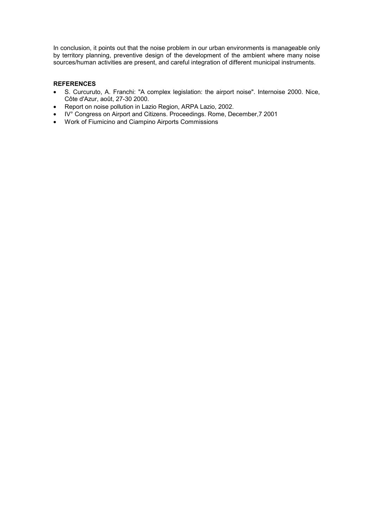In conclusion, it points out that the noise problem in our urban environments is manageable only by territory planning, preventive design of the development of the ambient where many noise sources/human activities are present, and careful integration of different municipal instruments.

### **REFERENCES**

- S. Curcuruto, A. Franchi: "A complex legislation: the airport noise". Internoise 2000. Nice, Côte d'Azur, août, 27-30 2000.
- Report on noise pollution in Lazio Region, ARPA Lazio, 2002.
- IV° Congress on Airport and Citizens. Proceedings. Rome, December,7 2001
- Work of Fiumicino and Ciampino Airports Commissions